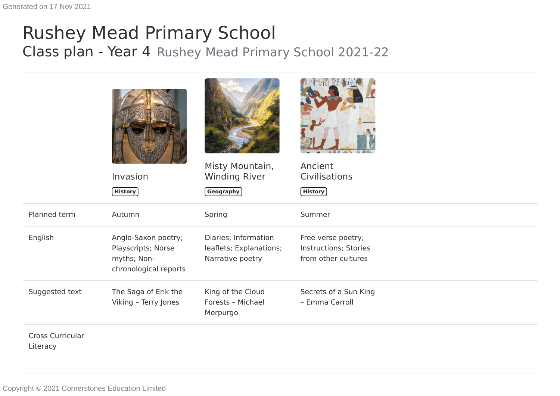## Rushey Mead Primary School Class plan - Year 4 Rushey Mead Primary School 2021-22

|                              | Invasion<br>History                                                               | Misty Mountain,<br><b>Winding River</b><br><b>Geography</b>         | Ancient<br>Civilisations<br><b>History</b>                         |
|------------------------------|-----------------------------------------------------------------------------------|---------------------------------------------------------------------|--------------------------------------------------------------------|
| Planned term                 | Autumn                                                                            | Spring                                                              | Summer                                                             |
| English                      | Anglo-Saxon poetry;<br>Playscripts; Norse<br>myths; Non-<br>chronological reports | Diaries; Information<br>leaflets; Explanations;<br>Narrative poetry | Free verse poetry;<br>Instructions; Stories<br>from other cultures |
| Suggested text               | The Saga of Erik the<br>Viking - Terry Jones                                      | King of the Cloud<br>Forests - Michael<br>Morpurgo                  | Secrets of a Sun King<br>- Emma Carroll                            |
| Cross Curricular<br>Literacy |                                                                                   |                                                                     |                                                                    |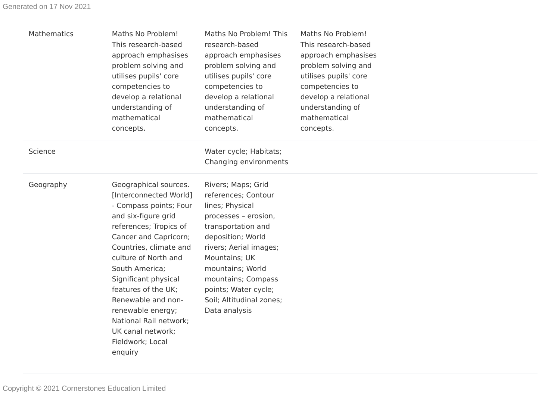| Mathematics | Maths No Problem!<br>This research-based<br>approach emphasises<br>problem solving and<br>utilises pupils' core<br>competencies to<br>develop a relational<br>understanding of<br>mathematical<br>concepts.                                                                                                                                                                                     | Maths No Problem! This<br>research-based<br>approach emphasises<br>problem solving and<br>utilises pupils' core<br>competencies to<br>develop a relational<br>understanding of<br>mathematical<br>concepts.                                                                               | Maths No Problem!<br>This research-based<br>approach emphasises<br>problem solving and<br>utilises pupils' core<br>competencies to<br>develop a relational<br>understanding of<br>mathematical<br>concepts. |  |
|-------------|-------------------------------------------------------------------------------------------------------------------------------------------------------------------------------------------------------------------------------------------------------------------------------------------------------------------------------------------------------------------------------------------------|-------------------------------------------------------------------------------------------------------------------------------------------------------------------------------------------------------------------------------------------------------------------------------------------|-------------------------------------------------------------------------------------------------------------------------------------------------------------------------------------------------------------|--|
| Science     |                                                                                                                                                                                                                                                                                                                                                                                                 | Water cycle; Habitats;<br>Changing environments                                                                                                                                                                                                                                           |                                                                                                                                                                                                             |  |
| Geography   | Geographical sources.<br>[Interconnected World]<br>- Compass points; Four<br>and six-figure grid<br>references; Tropics of<br>Cancer and Capricorn;<br>Countries, climate and<br>culture of North and<br>South America;<br>Significant physical<br>features of the UK;<br>Renewable and non-<br>renewable energy;<br>National Rail network;<br>UK canal network;<br>Fieldwork; Local<br>enquiry | Rivers; Maps; Grid<br>references; Contour<br>lines; Physical<br>processes - erosion,<br>transportation and<br>deposition; World<br>rivers; Aerial images;<br>Mountains; UK<br>mountains; World<br>mountains; Compass<br>points; Water cycle;<br>Soil; Altitudinal zones;<br>Data analysis |                                                                                                                                                                                                             |  |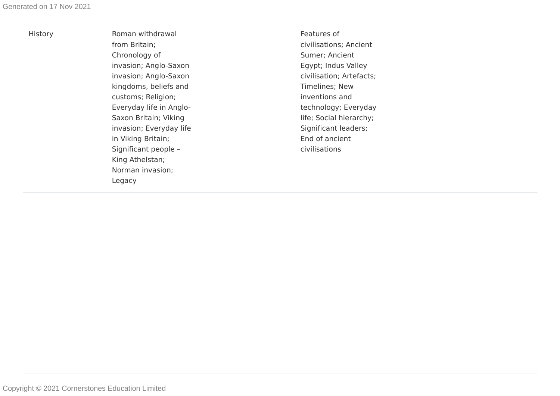| M.<br>× |
|---------|

Roman withdrawal from Britain; Chronology of invasion; Anglo-Saxon invasion; Anglo-Saxon kingdoms, beliefs and customs; Religion; Everyday life in Anglo - Saxon Britain; Viking invasion; Everyday life in Viking Britain; Significant people – King Athelstan; Norman invasion; Legacy

Features of civilisations; Ancient Sumer; Ancient Egypt; Indus Valley civilisation; Artefacts; Timelines; New inventions and technology; Everyday life; Social hierarchy; Significant leaders; End of ancient civilisations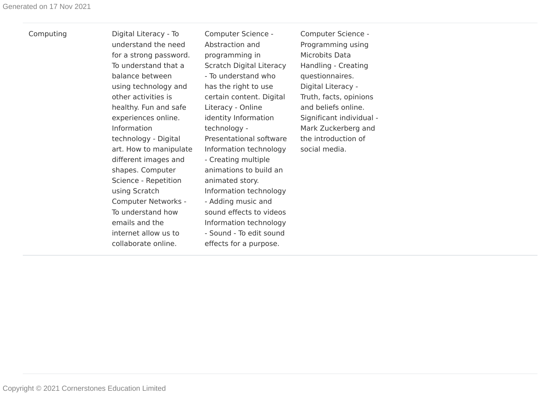Computing Digital Literacy - To understand the need for a strong password. To understand that a balance between using technology and other activities is healthy. Fun and safe experiences online. Information technology - Digital art. How to manipulate different images and shapes. Computer Science - Repetition using Scratch Computer Networks - To understand how emails and the internet allow us to collaborate online.

Computer Science - Abstraction and programming in Scratch Digital Literacy - To understand who has the right to use certain content. Digital Literacy - Online identity Information technology - Presentational software Information technology - Creating multiple animations to build an animated story. Information technology - Adding music and sound effects to videos Information technology - Sound - To edit sound effects for a purpose.

Computer Science - Programming using Microbits Data Handling - Creating questionnaires. Digital Literacy - Truth, facts, opinions and beliefs online. Significant individual - Mark Zuckerberg and the introduction of social media.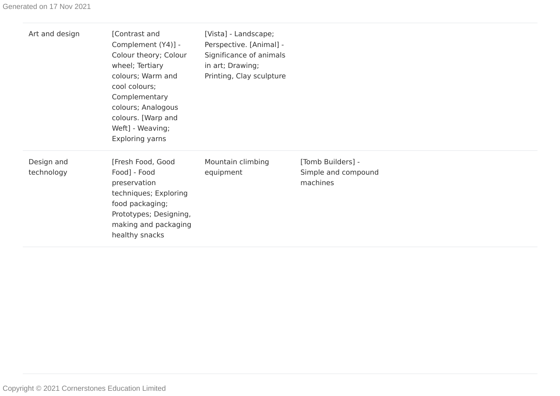| Art and design           | [Contrast and<br>Complement (Y4)] -<br>Colour theory; Colour<br>wheel; Tertiary<br>colours; Warm and<br>cool colours;<br>Complementary<br>colours; Analogous<br>colours. [Warp and<br>Weft] - Weaving;<br>Exploring yarns | [Vista] - Landscape;<br>Perspective. [Animal] -<br>Significance of animals<br>in art; Drawing;<br>Printing, Clay sculpture |                                                      |
|--------------------------|---------------------------------------------------------------------------------------------------------------------------------------------------------------------------------------------------------------------------|----------------------------------------------------------------------------------------------------------------------------|------------------------------------------------------|
| Design and<br>technology | [Fresh Food, Good<br>Food] - Food<br>preservation<br>techniques; Exploring<br>food packaging;<br>Prototypes; Designing,<br>making and packaging<br>healthy snacks                                                         | Mountain climbing<br>equipment                                                                                             | [Tomb Builders] -<br>Simple and compound<br>machines |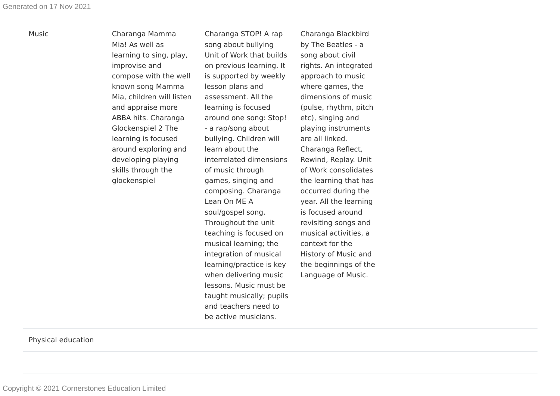Music

and teachers need to be active musicians.

Physical education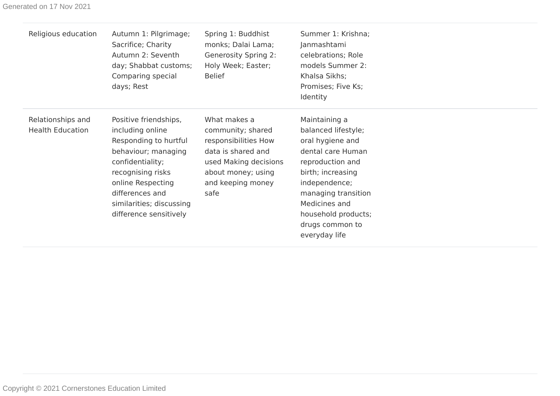| Religious education                          | Autumn 1: Pilgrimage;<br>Sacrifice; Charity<br>Autumn 2: Seventh<br>day; Shabbat customs;<br>Comparing special<br>days; Rest                                                                                                     | Spring 1: Buddhist<br>monks; Dalai Lama;<br><b>Generosity Spring 2:</b><br>Holy Week; Easter;<br><b>Belief</b>                                              | Summer 1: Krishna;<br>Janmashtami<br>celebrations; Role<br>models Summer 2:<br>Khalsa Sikhs;<br>Promises; Five Ks;<br>Identity                                                                                                             |
|----------------------------------------------|----------------------------------------------------------------------------------------------------------------------------------------------------------------------------------------------------------------------------------|-------------------------------------------------------------------------------------------------------------------------------------------------------------|--------------------------------------------------------------------------------------------------------------------------------------------------------------------------------------------------------------------------------------------|
| Relationships and<br><b>Health Education</b> | Positive friendships,<br>including online<br>Responding to hurtful<br>behaviour; managing<br>confidentiality;<br>recognising risks<br>online Respecting<br>differences and<br>similarities; discussing<br>difference sensitively | What makes a<br>community; shared<br>responsibilities How<br>data is shared and<br>used Making decisions<br>about money; using<br>and keeping money<br>safe | Maintaining a<br>balanced lifestyle;<br>oral hygiene and<br>dental care Human<br>reproduction and<br>birth; increasing<br>independence;<br>managing transition<br>Medicines and<br>household products;<br>drugs common to<br>everyday life |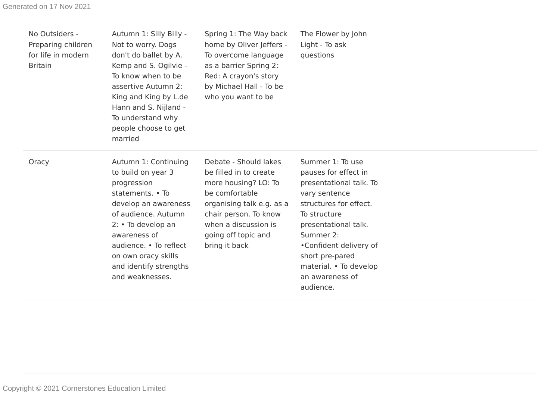| No Outsiders -<br>Preparing children<br>for life in modern<br><b>Britain</b> | Autumn 1: Silly Billy -<br>Not to worry. Dogs<br>don't do ballet by A.<br>Kemp and S. Ogilvie -<br>To know when to be<br>assertive Autumn 2:<br>King and King by L.de<br>Hann and S. Nijland -<br>To understand why<br>people choose to get<br>married           | Spring 1: The Way back<br>home by Oliver Jeffers -<br>To overcome language<br>as a barrier Spring 2:<br>Red: A crayon's story<br>by Michael Hall - To be<br>who you want to be                                  | The Flower by John<br>Light - To ask<br>questions                                                                                                                                                                                                                          |
|------------------------------------------------------------------------------|------------------------------------------------------------------------------------------------------------------------------------------------------------------------------------------------------------------------------------------------------------------|-----------------------------------------------------------------------------------------------------------------------------------------------------------------------------------------------------------------|----------------------------------------------------------------------------------------------------------------------------------------------------------------------------------------------------------------------------------------------------------------------------|
| Oracy                                                                        | Autumn 1: Continuing<br>to build on year 3<br>progression<br>statements. • To<br>develop an awareness<br>of audience. Autumn<br>2: • To develop an<br>awareness of<br>audience. • To reflect<br>on own oracy skills<br>and identify strengths<br>and weaknesses. | Debate - Should lakes<br>be filled in to create<br>more housing? LO: To<br>be comfortable<br>organising talk e.g. as a<br>chair person. To know<br>when a discussion is<br>going off topic and<br>bring it back | Summer 1: To use<br>pauses for effect in<br>presentational talk. To<br>vary sentence<br>structures for effect.<br>To structure<br>presentational talk.<br>Summer 2:<br>•Confident delivery of<br>short pre-pared<br>material. • To develop<br>an awareness of<br>audience. |